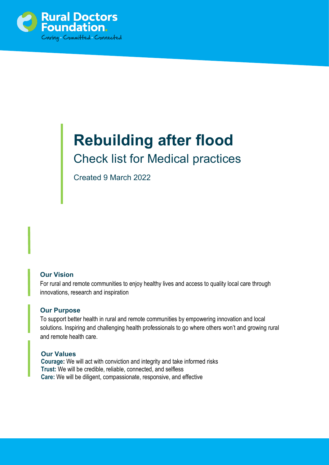

# **Rebuilding after flood**  Check list for Medical practices

Created 9 March 2022

# **Our Vision**

For rural and remote communities to enjoy healthy lives and access to quality local care through innovations, research and inspiration

### **Our Purpose**

To support better health in rural and remote communities by empowering innovation and local solutions. Inspiring and challenging health professionals to go where others won't and growing rural and remote health care.

### **Our Values**

**Courage:** We will act with conviction and integrity and take informed risks **Trust:** We will be credible, reliable, connected, and selfless **Care:** We will be diligent, compassionate, responsive, and effective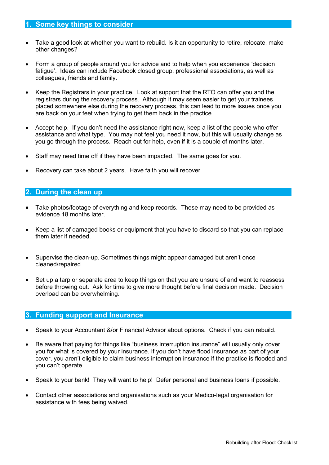# **1. Some key things to consider**

- Take a good look at whether you want to rebuild. Is it an opportunity to retire, relocate, make other changes?
- Form a group of people around you for advice and to help when you experience 'decision fatigue'. Ideas can include Facebook closed group, professional associations, as well as colleagues, friends and family.
- Keep the Registrars in your practice. Look at support that the RTO can offer you and the registrars during the recovery process. Although it may seem easier to get your trainees placed somewhere else during the recovery process, this can lead to more issues once you are back on your feet when trying to get them back in the practice.
- Accept help. If you don't need the assistance right now, keep a list of the people who offer assistance and what type. You may not feel you need it now, but this will usually change as you go through the process. Reach out for help, even if it is a couple of months later.
- Staff may need time off if they have been impacted. The same goes for you.
- Recovery can take about 2 years. Have faith you will recover

#### **2. During the clean up**

- Take photos/footage of everything and keep records. These may need to be provided as evidence 18 months later.
- Keep a list of damaged books or equipment that you have to discard so that you can replace them later if needed.
- Supervise the clean-up. Sometimes things might appear damaged but aren't once cleaned/repaired.
- Set up a tarp or separate area to keep things on that you are unsure of and want to reassess before throwing out. Ask for time to give more thought before final decision made. Decision overload can be overwhelming.

#### **3. Funding support and Insurance**

- Speak to your Accountant &/or Financial Advisor about options. Check if you can rebuild.
- Be aware that paying for things like "business interruption insurance" will usually only cover you for what is covered by your insurance. If you don't have flood insurance as part of your cover, you aren't eligible to claim business interruption insurance if the practice is flooded and you can't operate.
- Speak to your bank! They will want to help! Defer personal and business loans if possible.
- Contact other associations and organisations such as your Medico-legal organisation for assistance with fees being waived.